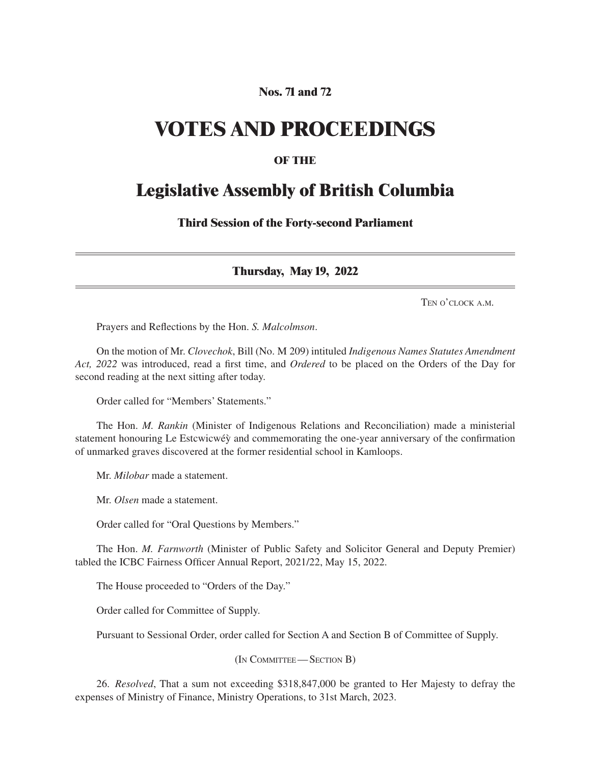# **Nos. 71 and 72**

# **VOTES AND PROCEEDINGS**

## **OF THE**

# **Legislative Assembly of British Columbia**

**Third Session of the Forty-second Parliament**

**Thursday, May 19, 2022**

Ten o'clock a.m.

Prayers and Reflections by the Hon. *S. Malcolmson*.

On the motion of Mr. *Clovechok*, Bill (No. M 209) intituled *Indigenous Names Statutes Amendment Act, 2022* was introduced, read a first time, and *Ordered* to be placed on the Orders of the Day for second reading at the next sitting after today.

Order called for "Members' Statements."

The Hon. *M. Rankin* (Minister of Indigenous Relations and Reconciliation) made a ministerial statement honouring Le Estcwicwéy and commemorating the one-year anniversary of the confirmation of unmarked graves discovered at the former residential school in Kamloops.

Mr. *Milobar* made a statement.

Mr. *Olsen* made a statement.

Order called for "Oral Questions by Members."

The Hon. *M. Farnworth* (Minister of Public Safety and Solicitor General and Deputy Premier) tabled the ICBC Fairness Officer Annual Report, 2021/22, May 15, 2022.

The House proceeded to "Orders of the Day."

Order called for Committee of Supply.

Pursuant to Sessional Order, order called for Section A and Section B of Committee of Supply.

(In Committee—Section B)

26. *Resolved*, That a sum not exceeding \$318,847,000 be granted to Her Majesty to defray the expenses of Ministry of Finance, Ministry Operations, to 31st March, 2023.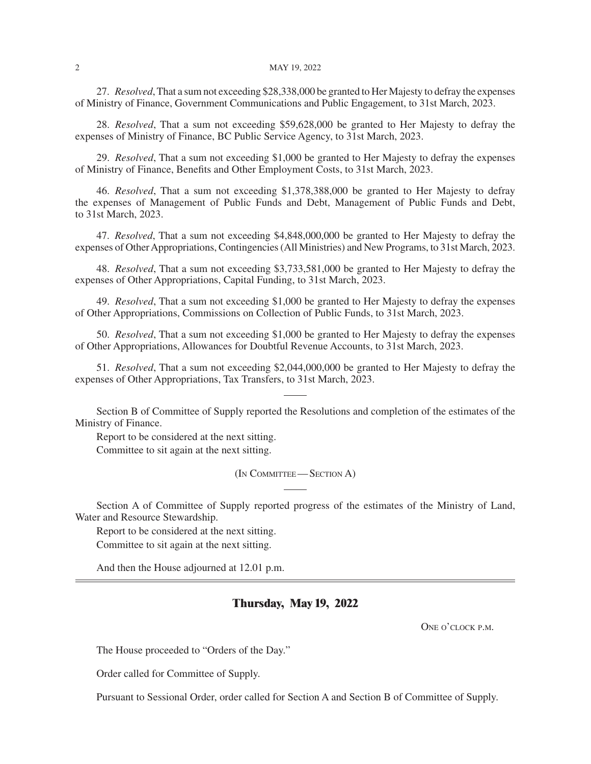#### 2 May 19, 2022

27. *Resolved*, That a sum not exceeding \$28,338,000 be granted to Her Majesty to defray the expenses of Ministry of Finance, Government Communications and Public Engagement, to 31st March, 2023.

28. *Resolved*, That a sum not exceeding \$59,628,000 be granted to Her Majesty to defray the expenses of Ministry of Finance, BC Public Service Agency, to 31st March, 2023.

29. *Resolved*, That a sum not exceeding \$1,000 be granted to Her Majesty to defray the expenses of Ministry of Finance, Benefits and Other Employment Costs, to 31st March, 2023.

46. *Resolved*, That a sum not exceeding \$1,378,388,000 be granted to Her Majesty to defray the expenses of Management of Public Funds and Debt, Management of Public Funds and Debt, to 31st March, 2023.

47. *Resolved*, That a sum not exceeding \$4,848,000,000 be granted to Her Majesty to defray the expenses of Other Appropriations, Contingencies (All Ministries) and New Programs, to 31st March, 2023.

48. *Resolved*, That a sum not exceeding \$3,733,581,000 be granted to Her Majesty to defray the expenses of Other Appropriations, Capital Funding, to 31st March, 2023.

49. *Resolved*, That a sum not exceeding \$1,000 be granted to Her Majesty to defray the expenses of Other Appropriations, Commissions on Collection of Public Funds, to 31st March, 2023.

50. *Resolved*, That a sum not exceeding \$1,000 be granted to Her Majesty to defray the expenses of Other Appropriations, Allowances for Doubtful Revenue Accounts, to 31st March, 2023.

51. *Resolved*, That a sum not exceeding \$2,044,000,000 be granted to Her Majesty to defray the expenses of Other Appropriations, Tax Transfers, to 31st March, 2023.

Section B of Committee of Supply reported the Resolutions and completion of the estimates of the Ministry of Finance.

Report to be considered at the next sitting.

Committee to sit again at the next sitting.

(In Committee—Section A)

Section A of Committee of Supply reported progress of the estimates of the Ministry of Land, Water and Resource Stewardship.

Report to be considered at the next sitting.

Committee to sit again at the next sitting.

And then the House adjourned at 12.01 p.m.

#### **Thursday, May 19, 2022**

ONE O'CLOCK P.M.

The House proceeded to "Orders of the Day."

Order called for Committee of Supply.

Pursuant to Sessional Order, order called for Section A and Section B of Committee of Supply.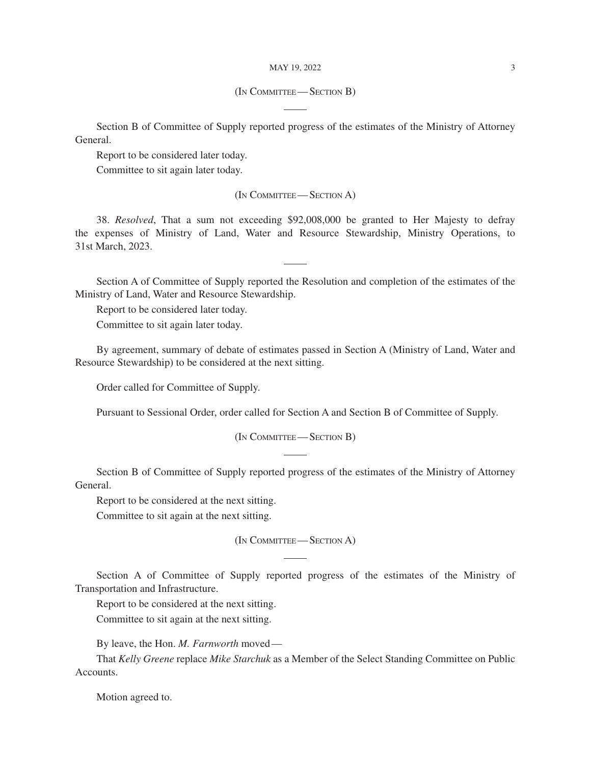#### MAY 19, 2022 3

#### (In Committee—Section B)

Section B of Committee of Supply reported progress of the estimates of the Ministry of Attorney General.

Report to be considered later today.

Committee to sit again later today.

(In Committee—Section A)

38. *Resolved*, That a sum not exceeding \$92,008,000 be granted to Her Majesty to defray the expenses of Ministry of Land, Water and Resource Stewardship, Ministry Operations, to 31st March, 2023.

Section A of Committee of Supply reported the Resolution and completion of the estimates of the Ministry of Land, Water and Resource Stewardship.

Report to be considered later today.

Committee to sit again later today.

By agreement, summary of debate of estimates passed in Section A (Ministry of Land, Water and Resource Stewardship) to be considered at the next sitting.

Order called for Committee of Supply.

Pursuant to Sessional Order, order called for Section A and Section B of Committee of Supply.

(In Committee—Section B)

Section B of Committee of Supply reported progress of the estimates of the Ministry of Attorney General.

Report to be considered at the next sitting.

Committee to sit again at the next sitting.

(In Committee—Section A)

Section A of Committee of Supply reported progress of the estimates of the Ministry of Transportation and Infrastructure.

Report to be considered at the next sitting.

Committee to sit again at the next sitting.

By leave, the Hon. *M. Farnworth* moved—

That *Kelly Greene* replace *Mike Starchuk* as a Member of the Select Standing Committee on Public Accounts.

Motion agreed to.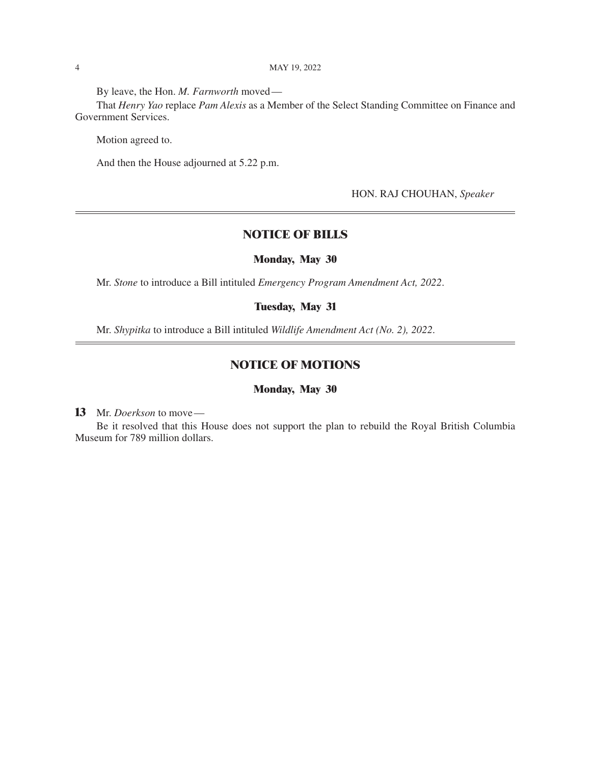By leave, the Hon. *M. Farnworth* moved—

That *Henry Yao* replace *Pam Alexis* as a Member of the Select Standing Committee on Finance and Government Services.

Motion agreed to.

And then the House adjourned at 5.22 p.m.

HON. RAJ CHOUHAN, *Speaker*

# **NOTICE OF BILLS**

#### **Monday, May 30**

Mr. *Stone* to introduce a Bill intituled *Emergency Program Amendment Act, 2022*.

#### **Tuesday, May 31**

Mr. *Shypitka* to introduce a Bill intituled *Wildlife Amendment Act (No. 2), 2022*.

### **NOTICE OF MOTIONS**

#### **Monday, May 30**

**13** Mr. *Doerkson* to move—

Be it resolved that this House does not support the plan to rebuild the Royal British Columbia Museum for 789 million dollars.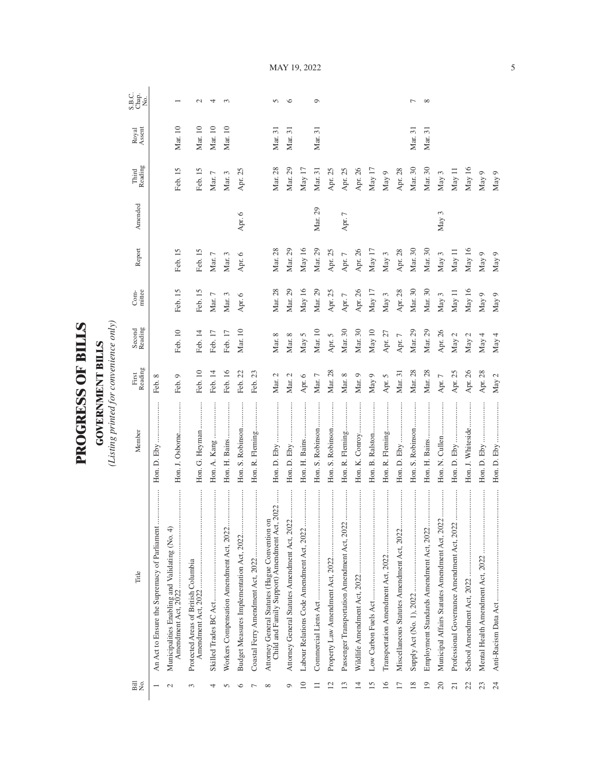| ROGRESS OF BILLS | OVERNMENT BILLS | isting printed for convenience only |
|------------------|-----------------|-------------------------------------|

| Bill<br>No.             | Title                                                                                           | Member                           | First<br>Reading | Second<br>Reading | mittee<br>Com- | Report   | Amended | Reading<br>Third | Royal<br>Assent | S.B.C.<br>Chap.<br>No. |
|-------------------------|-------------------------------------------------------------------------------------------------|----------------------------------|------------------|-------------------|----------------|----------|---------|------------------|-----------------|------------------------|
|                         |                                                                                                 |                                  | Feb. 8           |                   |                |          |         |                  |                 |                        |
|                         | Municipalities Enabling and Validating (No. 4)<br>Amendment Act, 2022                           | Hon. J. Osborne                  | Feb. 9           | Feb. 10           | Feb. 15        | Feb. 15  |         | Feb. 15          | Mar. 10         |                        |
| 3                       | Protected Areas of British Columbia                                                             | Hon. G. Heyman                   | Feb. 10          | Feb. 14           | Feb. 15        | Feb. 15  |         | Feb. 15          | Mar. 10         | $\mathcal{L}$          |
| 4                       |                                                                                                 | :<br>:<br>:<br>:<br>Hon. A. Kang | Feb. 14          | Feb. 17           | Mar. $7$       | Mar. $7$ |         | Mar. $7$         | Mar. 10         | 4                      |
|                         |                                                                                                 | Hon. H. Bains                    | Feb. 16          | Feb. 17           | Mar. 3         | Mar. 3   |         | Mar. 3           | Mar. 10         | $\infty$               |
|                         |                                                                                                 | Hon. S. Robinson                 | Feb. 22          | Mar. 10           | Apr. 6         | Apr. 6   | Apr. 6  | Apr. 25          |                 |                        |
|                         | .                                                                                               | Hon. R. Fleming                  | Feb. 23          |                   |                |          |         |                  |                 |                        |
| ${}^{\circ}$            | Child and Family Support) Amendment Act, 2022<br>Attorney General Statutes (Hague Convention on |                                  | Mar. 2           | Mar. 8            | Mar. 28        | Mar. 28  |         | Mar. 28          | Mar. 31         | $\sigma$               |
| Ó                       |                                                                                                 |                                  | Mar. $2$         | Mar. $8$          | Mar. 29        | Mar. 29  |         | Mar. 29          | Mar. 31         | $\circ$                |
| $\supseteq$             |                                                                                                 |                                  | Apr. 6           | May 5             | May 16         | May 16   |         | May 17           |                 |                        |
|                         |                                                                                                 | Hon. S. Robinson                 | Mar. $7$         | Mar. 10           | Mar. 29        | Mar. 29  | Mar. 29 | Mar. 31          | Mar. 31         | $\circ$                |
| $\overline{\mathbf{c}}$ |                                                                                                 | Hon. S. Robinson                 | Mar. 28          | Apr. $5$          | Apr. 25        | Apr. 25  |         | Apr. 25          |                 |                        |
|                         |                                                                                                 | Hon. R. Fleming                  | Mar. 8           | Mar. 30           | Apr. 7         | Apr. $7$ | Apr. 7  | Apr. 25          |                 |                        |
| $\overline{14}$         |                                                                                                 | Hon. K. Conroy                   | Mar. 9           | Mar. 30           | Apr. 26        | Apr. 26  |         | Apr. 26          |                 |                        |
| 15                      |                                                                                                 | <br>Hon. B. Ralston              | May 9            | May 10            | May 17         | May 17   |         | May 17           |                 |                        |
| $\overline{16}$         | <br>Transportation Amendment Act, 2022                                                          | Hon. R. Fleming                  | Apr. 5           | Apr. 27           | May $3$        | May 3    |         | May 9            |                 |                        |
| $\overline{17}$         |                                                                                                 | :<br>:<br>:<br>:<br>Hon. D. Eby  | Mar. 31          | Apr. 7            | Apr. 28        | Apr. 28  |         | Apr. 28          |                 |                        |
| 18                      |                                                                                                 | Hon. S. Robinson                 | Mar. 28          | Mar. 29           | Mar. 30        | Mar. 30  |         | Mar. 30          | Mar. 31         | $\overline{ }$         |
| 19                      |                                                                                                 | Hon. H. Bains                    | Mar. 28          | Mar. 29           | Mar. 30        | Mar. 30  |         | Mar. 30          | Mar. 31         | $\infty$               |
| $20$                    | Municipal Affairs Statutes Amendment Act, 2022                                                  |                                  | Apr. 7           | Apr. 26           | May 3          | May 3    | May 3   | May 3            |                 |                        |
| $\overline{21}$         |                                                                                                 | :<br>:<br>:<br>Hon. D. Eby       | Apr. 25          | May 2             | May 11         | May 11   |         | May 11           |                 |                        |
| 22                      |                                                                                                 | Hon. J. Whiteside                | Apr. 26          | May 2             | May 16         | May 16   |         | May 16           |                 |                        |
| 23                      |                                                                                                 |                                  | Apr. 28          | May 4             | May 9          | May 9    |         | May 9            |                 |                        |
| $\overline{24}$         |                                                                                                 |                                  | May $2$          | May 4             | May 9          | May 9    |         | May 9            |                 |                        |

MAY 19, 2022

5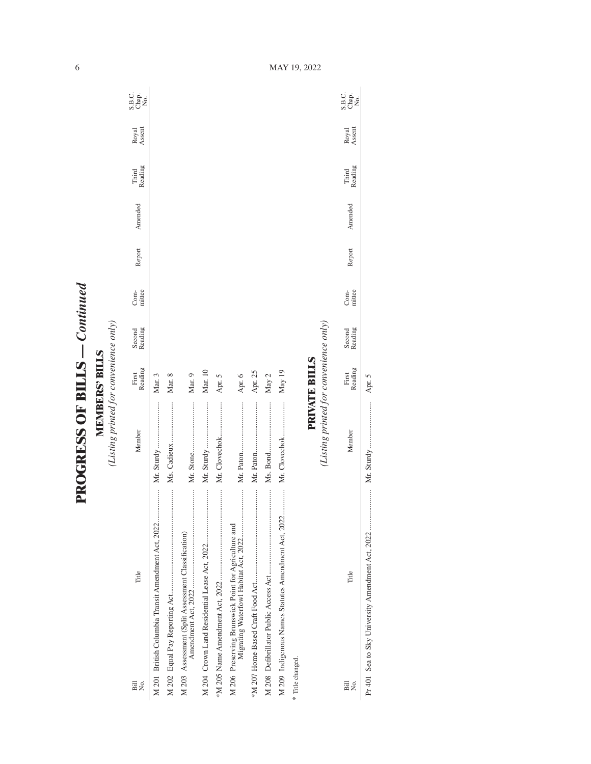| i                         |
|---------------------------|
|                           |
| $\frac{1}{2}$<br>$\vdots$ |
|                           |
| <b>ECCCCFFFC</b>          |
| j<br>י<br>ו               |

**MEMBERS' BILLS**<br>(Listing printed for convenience only) *(Listing printed for convenience only)* **MEMBERS' BILLS**

| Σó,<br>$\overline{B}$                              | Title                                                | Member                                 | Reading<br>First     | Second<br>Reading | mittee<br>Com- | Report | Amended | Reading<br>Third | Royal<br>Assent | S.B.c.<br>S.B.c<br>Nap |
|----------------------------------------------------|------------------------------------------------------|----------------------------------------|----------------------|-------------------|----------------|--------|---------|------------------|-----------------|------------------------|
|                                                    | M 201 British Columbia Transit Amendment Act, 2022   |                                        | Mar. 3               |                   |                |        |         |                  |                 |                        |
|                                                    |                                                      |                                        | Mar. 8               |                   |                |        |         |                  |                 |                        |
| M 203 Assessment (Split Assessment Classification) |                                                      |                                        | Mar. 9               |                   |                |        |         |                  |                 |                        |
|                                                    |                                                      | Mr. Sturdy                             | Mar. 10              |                   |                |        |         |                  |                 |                        |
|                                                    |                                                      | Mr. Clovechok                          | Apr. 5               |                   |                |        |         |                  |                 |                        |
|                                                    | M 206 Preserving Brunswick Point for Agriculture and |                                        | Apr. 6               |                   |                |        |         |                  |                 |                        |
|                                                    |                                                      |                                        | Apr. 25              |                   |                |        |         |                  |                 |                        |
|                                                    |                                                      |                                        | May $2$              |                   |                |        |         |                  |                 |                        |
|                                                    | M 209 Indigenous Names Statutes Amendment Act, 2022  |                                        | May 19               |                   |                |        |         |                  |                 |                        |
| * Title changed.                                   |                                                      |                                        |                      |                   |                |        |         |                  |                 |                        |
|                                                    |                                                      |                                        | <b>PRIVATE BILLS</b> |                   |                |        |         |                  |                 |                        |
|                                                    |                                                      | (Listing printed for convenience only) |                      |                   |                |        |         |                  |                 |                        |
| Bill<br>Σó,                                        | Title                                                | Member                                 | Reading<br>First     | Second<br>Reading | mittee<br>Com- | Report | Amended | Third<br>Reading | Royal<br>Assent | S.B.C.<br>Chap.<br>No. |

Pr 401 Sea to Sky University Amendment Act, 2022 ..................... Mr. Sturdy ........................ Apr. 5

 $\overline{1}$ 

Apr. 5

6